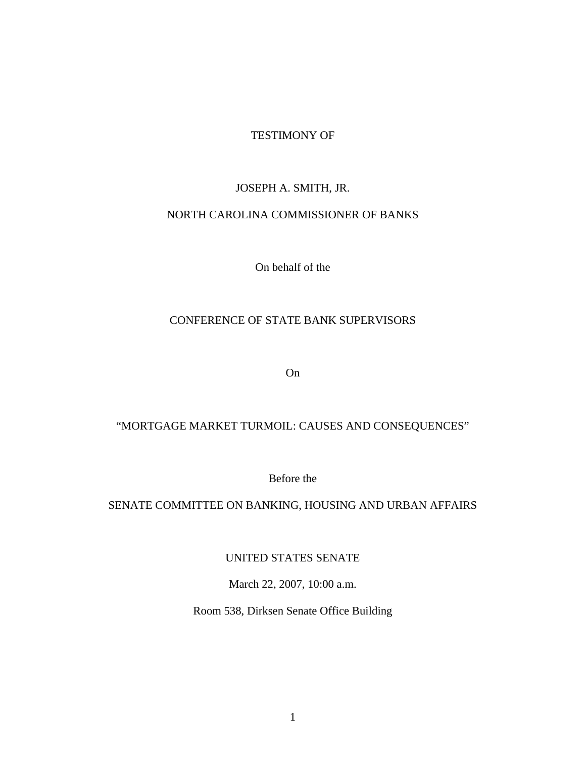## TESTIMONY OF

# JOSEPH A. SMITH, JR.

## NORTH CAROLINA COMMISSIONER OF BANKS

On behalf of the

# CONFERENCE OF STATE BANK SUPERVISORS

On

# "MORTGAGE MARKET TURMOIL: CAUSES AND CONSEQUENCES"

Before the

# SENATE COMMITTEE ON BANKING, HOUSING AND URBAN AFFAIRS

UNITED STATES SENATE

March 22, 2007, 10:00 a.m.

Room 538, Dirksen Senate Office Building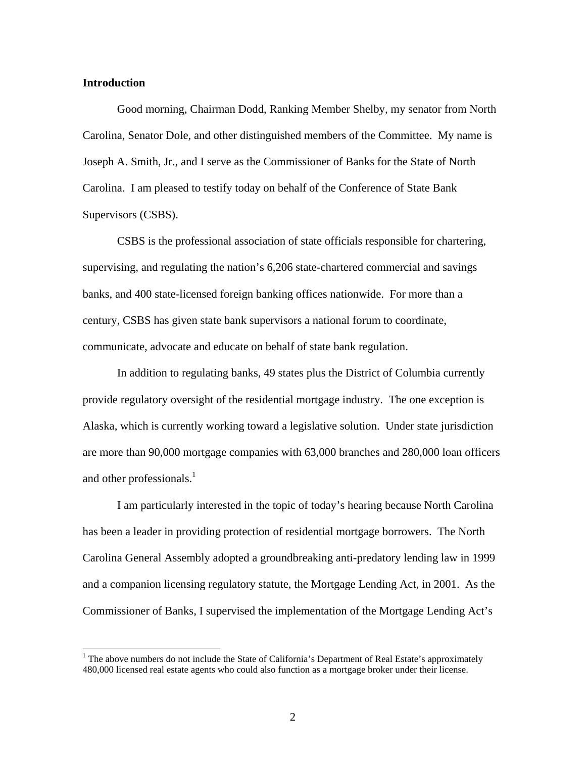#### **Introduction**

 $\overline{a}$ 

 Good morning, Chairman Dodd, Ranking Member Shelby, my senator from North Carolina, Senator Dole, and other distinguished members of the Committee. My name is Joseph A. Smith, Jr., and I serve as the Commissioner of Banks for the State of North Carolina. I am pleased to testify today on behalf of the Conference of State Bank Supervisors (CSBS).

 CSBS is the professional association of state officials responsible for chartering, supervising, and regulating the nation's 6,206 state-chartered commercial and savings banks, and 400 state-licensed foreign banking offices nationwide. For more than a century, CSBS has given state bank supervisors a national forum to coordinate, communicate, advocate and educate on behalf of state bank regulation.

 In addition to regulating banks, 49 states plus the District of Columbia currently provide regulatory oversight of the residential mortgage industry. The one exception is Alaska, which is currently working toward a legislative solution. Under state jurisdiction are more than 90,000 mortgage companies with 63,000 branches and 280,000 loan officers and other professionals. $<sup>1</sup>$ </sup>

 I am particularly interested in the topic of today's hearing because North Carolina has been a leader in providing protection of residential mortgage borrowers. The North Carolina General Assembly adopted a groundbreaking anti-predatory lending law in 1999 and a companion licensing regulatory statute, the Mortgage Lending Act, in 2001. As the Commissioner of Banks, I supervised the implementation of the Mortgage Lending Act's

<sup>&</sup>lt;sup>1</sup> The above numbers do not include the State of California's Department of Real Estate's approximately 480,000 licensed real estate agents who could also function as a mortgage broker under their license.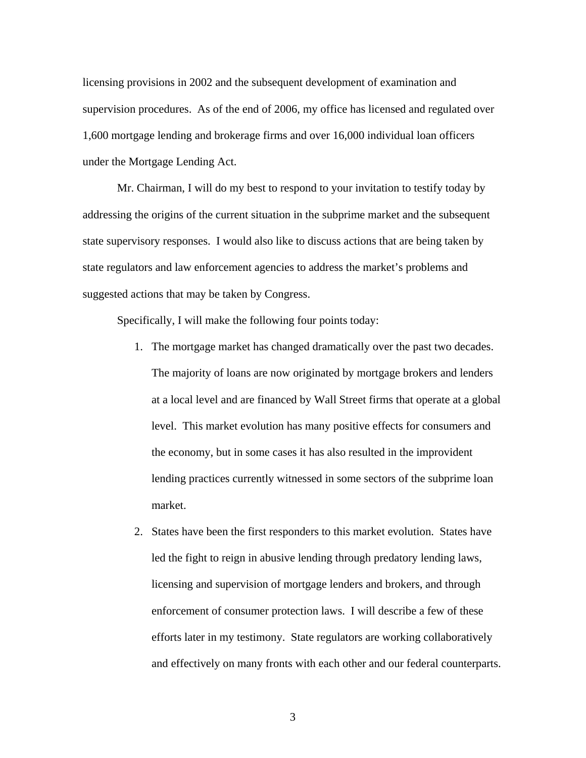licensing provisions in 2002 and the subsequent development of examination and supervision procedures. As of the end of 2006, my office has licensed and regulated over 1,600 mortgage lending and brokerage firms and over 16,000 individual loan officers under the Mortgage Lending Act.

 Mr. Chairman, I will do my best to respond to your invitation to testify today by addressing the origins of the current situation in the subprime market and the subsequent state supervisory responses. I would also like to discuss actions that are being taken by state regulators and law enforcement agencies to address the market's problems and suggested actions that may be taken by Congress.

Specifically, I will make the following four points today:

- 1. The mortgage market has changed dramatically over the past two decades. The majority of loans are now originated by mortgage brokers and lenders at a local level and are financed by Wall Street firms that operate at a global level. This market evolution has many positive effects for consumers and the economy, but in some cases it has also resulted in the improvident lending practices currently witnessed in some sectors of the subprime loan market.
- 2. States have been the first responders to this market evolution. States have led the fight to reign in abusive lending through predatory lending laws, licensing and supervision of mortgage lenders and brokers, and through enforcement of consumer protection laws. I will describe a few of these efforts later in my testimony. State regulators are working collaboratively and effectively on many fronts with each other and our federal counterparts.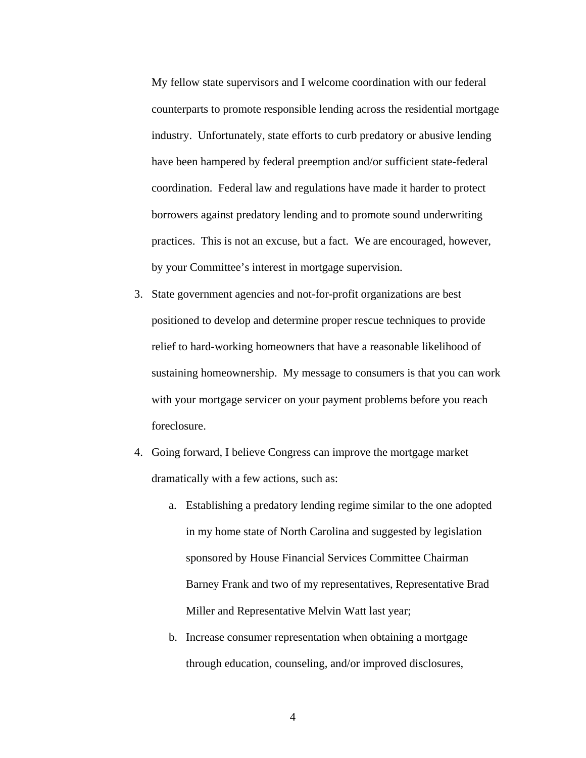My fellow state supervisors and I welcome coordination with our federal counterparts to promote responsible lending across the residential mortgage industry. Unfortunately, state efforts to curb predatory or abusive lending have been hampered by federal preemption and/or sufficient state-federal coordination. Federal law and regulations have made it harder to protect borrowers against predatory lending and to promote sound underwriting practices. This is not an excuse, but a fact. We are encouraged, however, by your Committee's interest in mortgage supervision.

- 3. State government agencies and not-for-profit organizations are best positioned to develop and determine proper rescue techniques to provide relief to hard-working homeowners that have a reasonable likelihood of sustaining homeownership. My message to consumers is that you can work with your mortgage servicer on your payment problems before you reach foreclosure.
- 4. Going forward, I believe Congress can improve the mortgage market dramatically with a few actions, such as:
	- a. Establishing a predatory lending regime similar to the one adopted in my home state of North Carolina and suggested by legislation sponsored by House Financial Services Committee Chairman Barney Frank and two of my representatives, Representative Brad Miller and Representative Melvin Watt last year;
	- b. Increase consumer representation when obtaining a mortgage through education, counseling, and/or improved disclosures,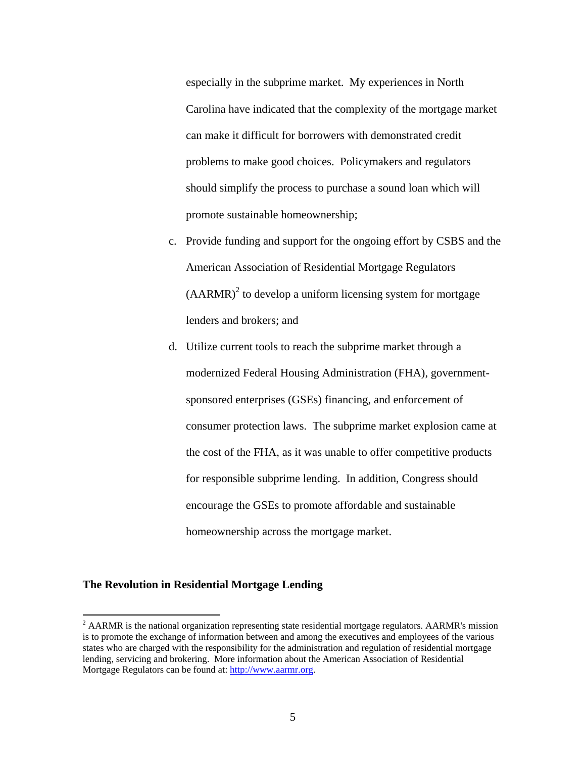especially in the subprime market. My experiences in North Carolina have indicated that the complexity of the mortgage market can make it difficult for borrowers with demonstrated credit problems to make good choices. Policymakers and regulators should simplify the process to purchase a sound loan which will promote sustainable homeownership;

- c. Provide funding and support for the ongoing effort by CSBS and the American Association of Residential Mortgage Regulators  $(AARMR)<sup>2</sup>$  to develop a uniform licensing system for mortgage lenders and brokers; and
- d. Utilize current tools to reach the subprime market through a modernized Federal Housing Administration (FHA), governmentsponsored enterprises (GSEs) financing, and enforcement of consumer protection laws. The subprime market explosion came at the cost of the FHA, as it was unable to offer competitive products for responsible subprime lending. In addition, Congress should encourage the GSEs to promote affordable and sustainable homeownership across the mortgage market.

#### **The Revolution in Residential Mortgage Lending**

 $\overline{a}$ 

 $2$  AARMR is the national organization representing state residential mortgage regulators. AARMR's mission is to promote the exchange of information between and among the executives and employees of the various states who are charged with the responsibility for the administration and regulation of residential mortgage lending, servicing and brokering. More information about the American Association of Residential Mortgage Regulators can be found at: http://www.aarmr.org.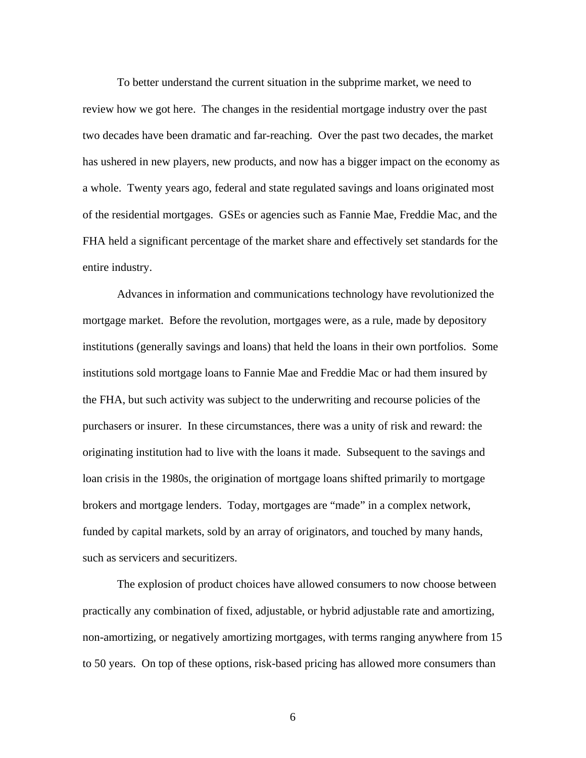To better understand the current situation in the subprime market, we need to review how we got here. The changes in the residential mortgage industry over the past two decades have been dramatic and far-reaching. Over the past two decades, the market has ushered in new players, new products, and now has a bigger impact on the economy as a whole. Twenty years ago, federal and state regulated savings and loans originated most of the residential mortgages. GSEs or agencies such as Fannie Mae, Freddie Mac, and the FHA held a significant percentage of the market share and effectively set standards for the entire industry.

 Advances in information and communications technology have revolutionized the mortgage market. Before the revolution, mortgages were, as a rule, made by depository institutions (generally savings and loans) that held the loans in their own portfolios. Some institutions sold mortgage loans to Fannie Mae and Freddie Mac or had them insured by the FHA, but such activity was subject to the underwriting and recourse policies of the purchasers or insurer. In these circumstances, there was a unity of risk and reward: the originating institution had to live with the loans it made. Subsequent to the savings and loan crisis in the 1980s, the origination of mortgage loans shifted primarily to mortgage brokers and mortgage lenders. Today, mortgages are "made" in a complex network, funded by capital markets, sold by an array of originators, and touched by many hands, such as servicers and securitizers.

 The explosion of product choices have allowed consumers to now choose between practically any combination of fixed, adjustable, or hybrid adjustable rate and amortizing, non-amortizing, or negatively amortizing mortgages, with terms ranging anywhere from 15 to 50 years. On top of these options, risk-based pricing has allowed more consumers than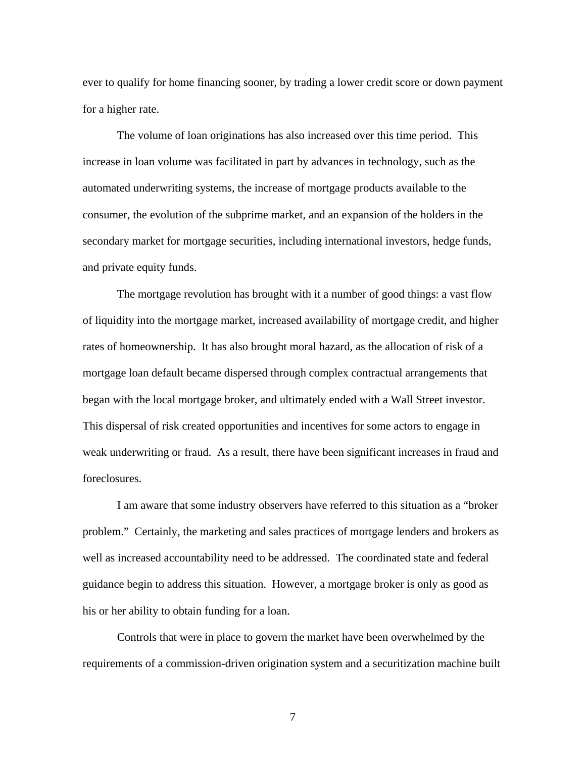ever to qualify for home financing sooner, by trading a lower credit score or down payment for a higher rate.

The volume of loan originations has also increased over this time period. This increase in loan volume was facilitated in part by advances in technology, such as the automated underwriting systems, the increase of mortgage products available to the consumer, the evolution of the subprime market, and an expansion of the holders in the secondary market for mortgage securities, including international investors, hedge funds, and private equity funds.

 The mortgage revolution has brought with it a number of good things: a vast flow of liquidity into the mortgage market, increased availability of mortgage credit, and higher rates of homeownership. It has also brought moral hazard, as the allocation of risk of a mortgage loan default became dispersed through complex contractual arrangements that began with the local mortgage broker, and ultimately ended with a Wall Street investor. This dispersal of risk created opportunities and incentives for some actors to engage in weak underwriting or fraud. As a result, there have been significant increases in fraud and foreclosures.

 I am aware that some industry observers have referred to this situation as a "broker problem." Certainly, the marketing and sales practices of mortgage lenders and brokers as well as increased accountability need to be addressed. The coordinated state and federal guidance begin to address this situation. However, a mortgage broker is only as good as his or her ability to obtain funding for a loan.

 Controls that were in place to govern the market have been overwhelmed by the requirements of a commission-driven origination system and a securitization machine built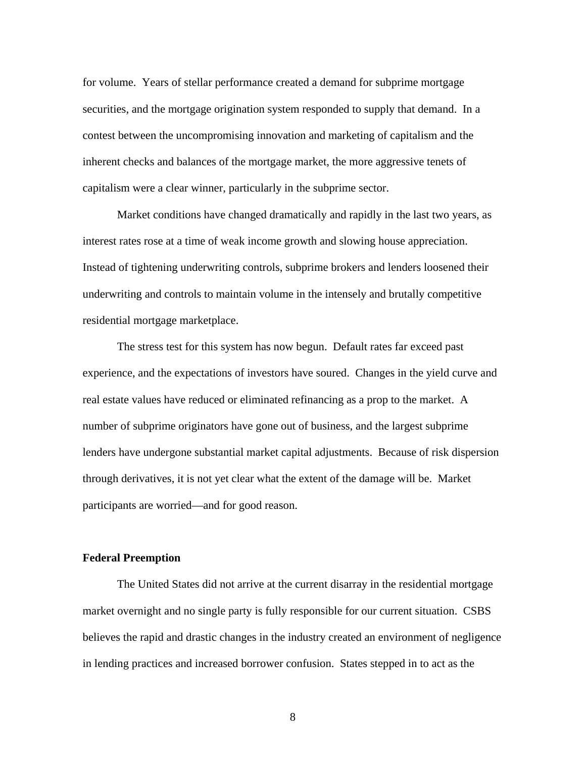for volume. Years of stellar performance created a demand for subprime mortgage securities, and the mortgage origination system responded to supply that demand. In a contest between the uncompromising innovation and marketing of capitalism and the inherent checks and balances of the mortgage market, the more aggressive tenets of capitalism were a clear winner, particularly in the subprime sector.

 Market conditions have changed dramatically and rapidly in the last two years, as interest rates rose at a time of weak income growth and slowing house appreciation. Instead of tightening underwriting controls, subprime brokers and lenders loosened their underwriting and controls to maintain volume in the intensely and brutally competitive residential mortgage marketplace.

The stress test for this system has now begun. Default rates far exceed past experience, and the expectations of investors have soured. Changes in the yield curve and real estate values have reduced or eliminated refinancing as a prop to the market. A number of subprime originators have gone out of business, and the largest subprime lenders have undergone substantial market capital adjustments. Because of risk dispersion through derivatives, it is not yet clear what the extent of the damage will be. Market participants are worried—and for good reason.

#### **Federal Preemption**

 The United States did not arrive at the current disarray in the residential mortgage market overnight and no single party is fully responsible for our current situation. CSBS believes the rapid and drastic changes in the industry created an environment of negligence in lending practices and increased borrower confusion. States stepped in to act as the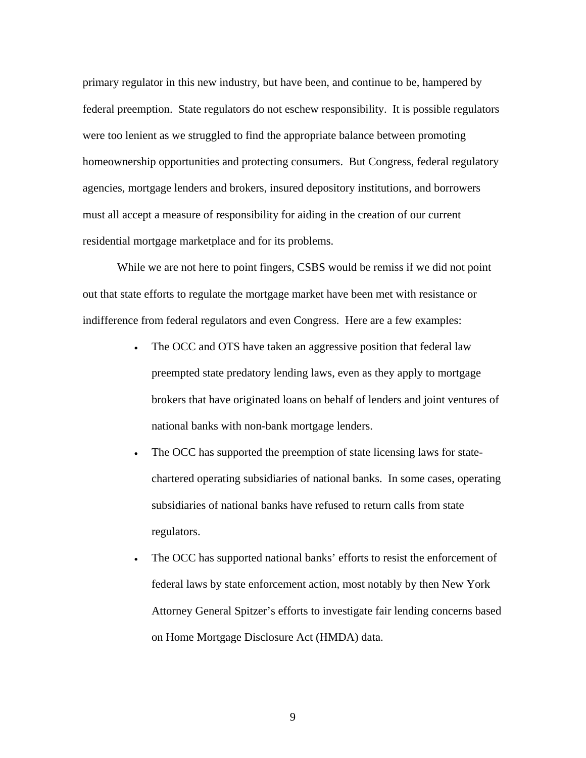primary regulator in this new industry, but have been, and continue to be, hampered by federal preemption. State regulators do not eschew responsibility. It is possible regulators were too lenient as we struggled to find the appropriate balance between promoting homeownership opportunities and protecting consumers. But Congress, federal regulatory agencies, mortgage lenders and brokers, insured depository institutions, and borrowers must all accept a measure of responsibility for aiding in the creation of our current residential mortgage marketplace and for its problems.

 While we are not here to point fingers, CSBS would be remiss if we did not point out that state efforts to regulate the mortgage market have been met with resistance or indifference from federal regulators and even Congress. Here are a few examples:

- The OCC and OTS have taken an aggressive position that federal law preempted state predatory lending laws, even as they apply to mortgage brokers that have originated loans on behalf of lenders and joint ventures of national banks with non-bank mortgage lenders.
- The OCC has supported the preemption of state licensing laws for statechartered operating subsidiaries of national banks. In some cases, operating subsidiaries of national banks have refused to return calls from state regulators.
- The OCC has supported national banks' efforts to resist the enforcement of federal laws by state enforcement action, most notably by then New York Attorney General Spitzer's efforts to investigate fair lending concerns based on Home Mortgage Disclosure Act (HMDA) data.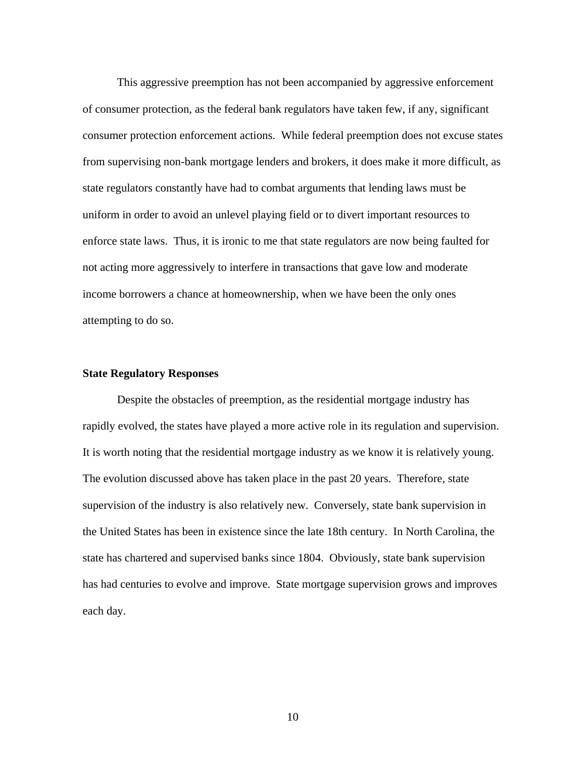This aggressive preemption has not been accompanied by aggressive enforcement of consumer protection, as the federal bank regulators have taken few, if any, significant consumer protection enforcement actions. While federal preemption does not excuse states from supervising non-bank mortgage lenders and brokers, it does make it more difficult, as state regulators constantly have had to combat arguments that lending laws must be uniform in order to avoid an unlevel playing field or to divert important resources to enforce state laws. Thus, it is ironic to me that state regulators are now being faulted for not acting more aggressively to interfere in transactions that gave low and moderate income borrowers a chance at homeownership, when we have been the only ones attempting to do so.

#### **State Regulatory Responses**

Despite the obstacles of preemption, as the residential mortgage industry has rapidly evolved, the states have played a more active role in its regulation and supervision. It is worth noting that the residential mortgage industry as we know it is relatively young. The evolution discussed above has taken place in the past 20 years. Therefore, state supervision of the industry is also relatively new. Conversely, state bank supervision in the United States has been in existence since the late 18th century. In North Carolina, the state has chartered and supervised banks since 1804. Obviously, state bank supervision has had centuries to evolve and improve. State mortgage supervision grows and improves each day.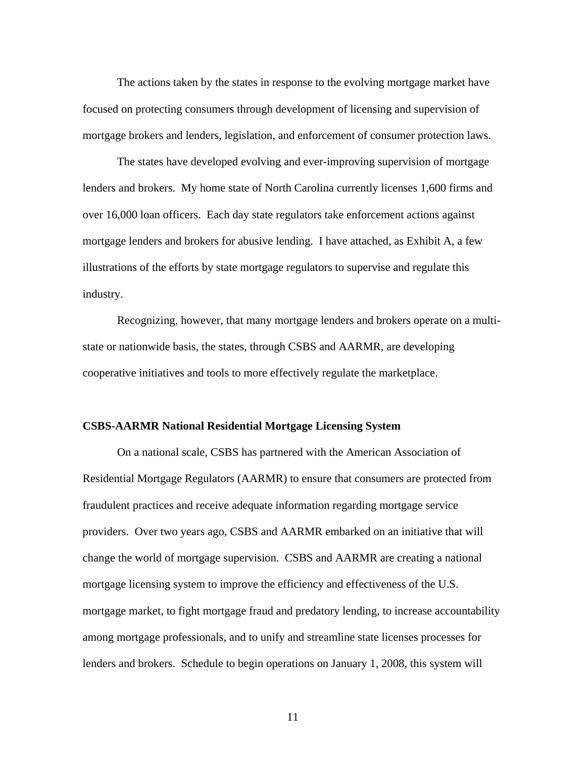The actions taken by the states in response to the evolving mortgage market have focused on protecting consumers through development of licensing and supervision of mortgage brokers and lenders, legislation, and enforcement of consumer protection laws.

The states have developed evolving and ever-improving supervision of mortgage lenders and brokers. My home state of North Carolina currently licenses 1,600 firms and over 16,000 loan officers. Each day state regulators take enforcement actions against mortgage lenders and brokers for abusive lending. I have attached, as Exhibit A, a few illustrations of the efforts by state mortgage regulators to supervise and regulate this industry.

Recognizing, however, that many mortgage lenders and brokers operate on a multistate or nationwide basis, the states, through CSBS and AARMR, are developing cooperative initiatives and tools to more effectively regulate the marketplace.

#### **CSBS-AARMR National Residential Mortgage Licensing System**

 On a national scale, CSBS has partnered with the American Association of Residential Mortgage Regulators (AARMR) to ensure that consumers are protected from fraudulent practices and receive adequate information regarding mortgage service providers. Over two years ago, CSBS and AARMR embarked on an initiative that will change the world of mortgage supervision. CSBS and AARMR are creating a national mortgage licensing system to improve the efficiency and effectiveness of the U.S. mortgage market, to fight mortgage fraud and predatory lending, to increase accountability among mortgage professionals, and to unify and streamline state licenses processes for lenders and brokers. Schedule to begin operations on January 1, 2008, this system will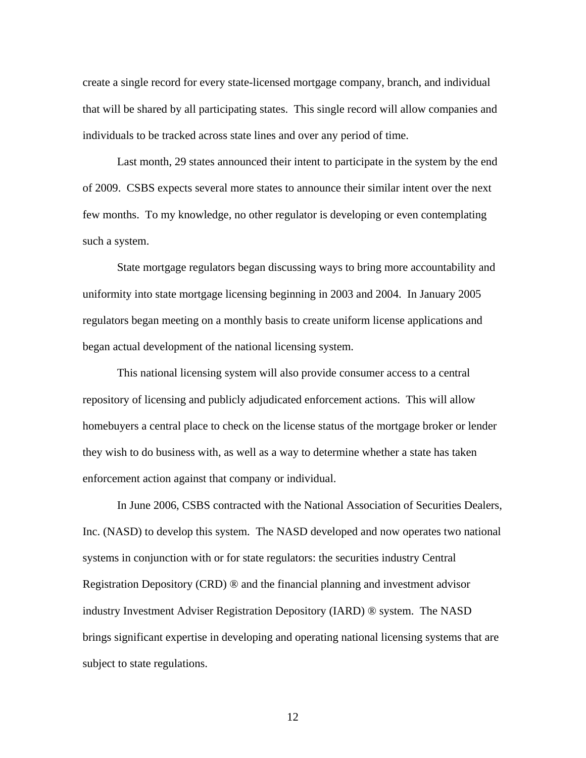create a single record for every state-licensed mortgage company, branch, and individual that will be shared by all participating states. This single record will allow companies and individuals to be tracked across state lines and over any period of time.

 Last month, 29 states announced their intent to participate in the system by the end of 2009. CSBS expects several more states to announce their similar intent over the next few months. To my knowledge, no other regulator is developing or even contemplating such a system.

State mortgage regulators began discussing ways to bring more accountability and uniformity into state mortgage licensing beginning in 2003 and 2004. In January 2005 regulators began meeting on a monthly basis to create uniform license applications and began actual development of the national licensing system.

 This national licensing system will also provide consumer access to a central repository of licensing and publicly adjudicated enforcement actions. This will allow homebuyers a central place to check on the license status of the mortgage broker or lender they wish to do business with, as well as a way to determine whether a state has taken enforcement action against that company or individual.

 In June 2006, CSBS contracted with the National Association of Securities Dealers, Inc. (NASD) to develop this system. The NASD developed and now operates two national systems in conjunction with or for state regulators: the securities industry Central Registration Depository (CRD) ® and the financial planning and investment advisor industry Investment Adviser Registration Depository (IARD) ® system. The NASD brings significant expertise in developing and operating national licensing systems that are subject to state regulations.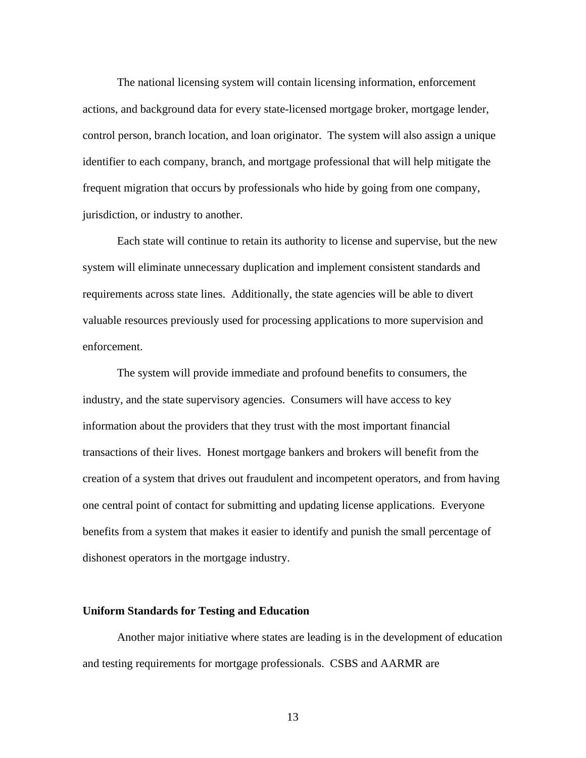The national licensing system will contain licensing information, enforcement actions, and background data for every state-licensed mortgage broker, mortgage lender, control person, branch location, and loan originator. The system will also assign a unique identifier to each company, branch, and mortgage professional that will help mitigate the frequent migration that occurs by professionals who hide by going from one company, jurisdiction, or industry to another.

Each state will continue to retain its authority to license and supervise, but the new system will eliminate unnecessary duplication and implement consistent standards and requirements across state lines. Additionally, the state agencies will be able to divert valuable resources previously used for processing applications to more supervision and enforcement.

 The system will provide immediate and profound benefits to consumers, the industry, and the state supervisory agencies. Consumers will have access to key information about the providers that they trust with the most important financial transactions of their lives. Honest mortgage bankers and brokers will benefit from the creation of a system that drives out fraudulent and incompetent operators, and from having one central point of contact for submitting and updating license applications. Everyone benefits from a system that makes it easier to identify and punish the small percentage of dishonest operators in the mortgage industry.

### **Uniform Standards for Testing and Education**

 Another major initiative where states are leading is in the development of education and testing requirements for mortgage professionals. CSBS and AARMR are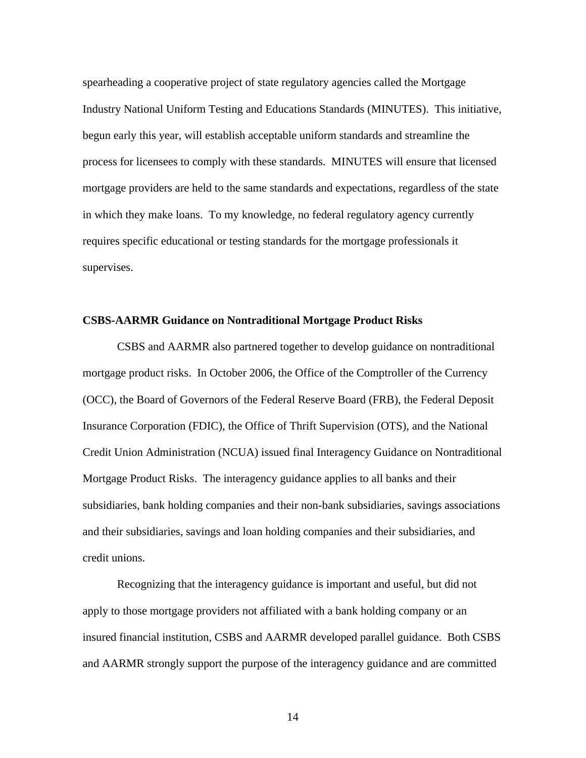spearheading a cooperative project of state regulatory agencies called the Mortgage Industry National Uniform Testing and Educations Standards (MINUTES). This initiative, begun early this year, will establish acceptable uniform standards and streamline the process for licensees to comply with these standards. MINUTES will ensure that licensed mortgage providers are held to the same standards and expectations, regardless of the state in which they make loans. To my knowledge, no federal regulatory agency currently requires specific educational or testing standards for the mortgage professionals it supervises.

#### **CSBS-AARMR Guidance on Nontraditional Mortgage Product Risks**

 CSBS and AARMR also partnered together to develop guidance on nontraditional mortgage product risks. In October 2006, the Office of the Comptroller of the Currency (OCC), the Board of Governors of the Federal Reserve Board (FRB), the Federal Deposit Insurance Corporation (FDIC), the Office of Thrift Supervision (OTS), and the National Credit Union Administration (NCUA) issued final Interagency Guidance on Nontraditional Mortgage Product Risks. The interagency guidance applies to all banks and their subsidiaries, bank holding companies and their non-bank subsidiaries, savings associations and their subsidiaries, savings and loan holding companies and their subsidiaries, and credit unions.

 Recognizing that the interagency guidance is important and useful, but did not apply to those mortgage providers not affiliated with a bank holding company or an insured financial institution, CSBS and AARMR developed parallel guidance. Both CSBS and AARMR strongly support the purpose of the interagency guidance and are committed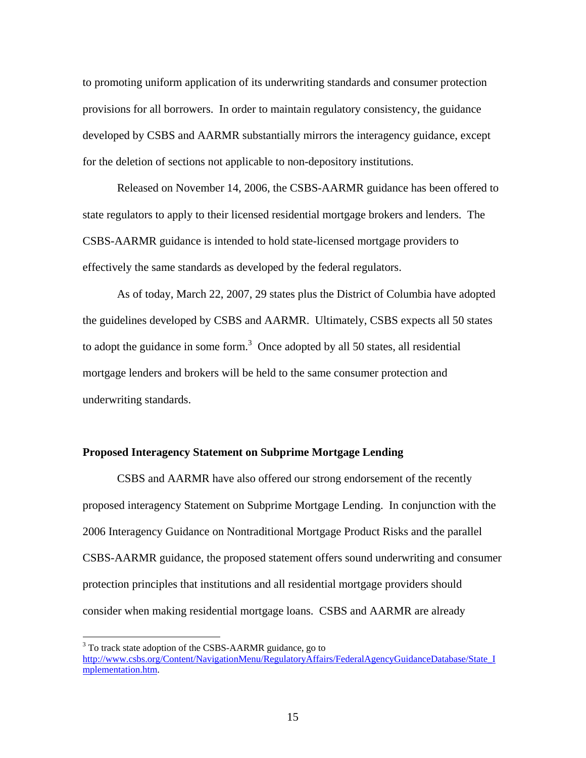to promoting uniform application of its underwriting standards and consumer protection provisions for all borrowers. In order to maintain regulatory consistency, the guidance developed by CSBS and AARMR substantially mirrors the interagency guidance, except for the deletion of sections not applicable to non-depository institutions.

 Released on November 14, 2006, the CSBS-AARMR guidance has been offered to state regulators to apply to their licensed residential mortgage brokers and lenders. The CSBS-AARMR guidance is intended to hold state-licensed mortgage providers to effectively the same standards as developed by the federal regulators.

 As of today, March 22, 2007, 29 states plus the District of Columbia have adopted the guidelines developed by CSBS and AARMR. Ultimately, CSBS expects all 50 states to adopt the guidance in some form.<sup>3</sup> Once adopted by all 50 states, all residential mortgage lenders and brokers will be held to the same consumer protection and underwriting standards.

#### **Proposed Interagency Statement on Subprime Mortgage Lending**

 $\overline{a}$ 

 CSBS and AARMR have also offered our strong endorsement of the recently proposed interagency Statement on Subprime Mortgage Lending. In conjunction with the 2006 Interagency Guidance on Nontraditional Mortgage Product Risks and the parallel CSBS-AARMR guidance, the proposed statement offers sound underwriting and consumer protection principles that institutions and all residential mortgage providers should consider when making residential mortgage loans. CSBS and AARMR are already

<sup>&</sup>lt;sup>3</sup> To track state adoption of the CSBS-AARMR guidance, go to http://www.csbs.org/Content/NavigationMenu/RegulatoryAffairs/FederalAgencyGuidanceDatabase/State\_I mplementation.htm.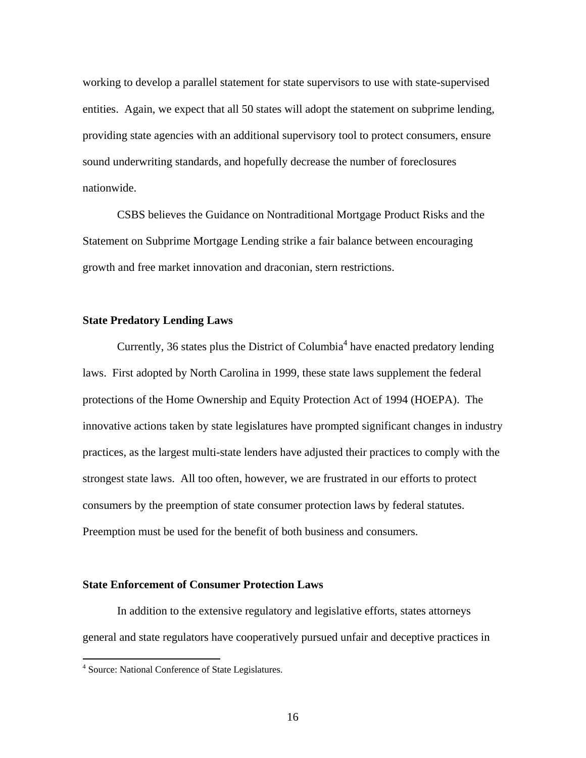working to develop a parallel statement for state supervisors to use with state-supervised entities. Again, we expect that all 50 states will adopt the statement on subprime lending, providing state agencies with an additional supervisory tool to protect consumers, ensure sound underwriting standards, and hopefully decrease the number of foreclosures nationwide.

CSBS believes the Guidance on Nontraditional Mortgage Product Risks and the Statement on Subprime Mortgage Lending strike a fair balance between encouraging growth and free market innovation and draconian, stern restrictions.

#### **State Predatory Lending Laws**

Currently, 36 states plus the District of Columbia<sup>4</sup> have enacted predatory lending laws. First adopted by North Carolina in 1999, these state laws supplement the federal protections of the Home Ownership and Equity Protection Act of 1994 (HOEPA). The innovative actions taken by state legislatures have prompted significant changes in industry practices, as the largest multi-state lenders have adjusted their practices to comply with the strongest state laws. All too often, however, we are frustrated in our efforts to protect consumers by the preemption of state consumer protection laws by federal statutes. Preemption must be used for the benefit of both business and consumers.

## **State Enforcement of Consumer Protection Laws**

In addition to the extensive regulatory and legislative efforts, states attorneys general and state regulators have cooperatively pursued unfair and deceptive practices in

 4 Source: National Conference of State Legislatures.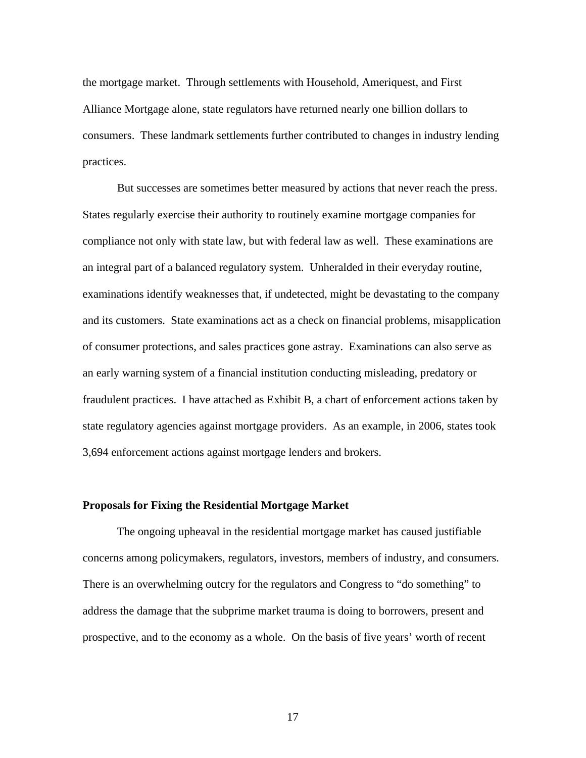the mortgage market. Through settlements with Household, Ameriquest, and First Alliance Mortgage alone, state regulators have returned nearly one billion dollars to consumers. These landmark settlements further contributed to changes in industry lending practices.

But successes are sometimes better measured by actions that never reach the press. States regularly exercise their authority to routinely examine mortgage companies for compliance not only with state law, but with federal law as well. These examinations are an integral part of a balanced regulatory system. Unheralded in their everyday routine, examinations identify weaknesses that, if undetected, might be devastating to the company and its customers. State examinations act as a check on financial problems, misapplication of consumer protections, and sales practices gone astray. Examinations can also serve as an early warning system of a financial institution conducting misleading, predatory or fraudulent practices. I have attached as Exhibit B, a chart of enforcement actions taken by state regulatory agencies against mortgage providers. As an example, in 2006, states took 3,694 enforcement actions against mortgage lenders and brokers.

### **Proposals for Fixing the Residential Mortgage Market**

 The ongoing upheaval in the residential mortgage market has caused justifiable concerns among policymakers, regulators, investors, members of industry, and consumers. There is an overwhelming outcry for the regulators and Congress to "do something" to address the damage that the subprime market trauma is doing to borrowers, present and prospective, and to the economy as a whole. On the basis of five years' worth of recent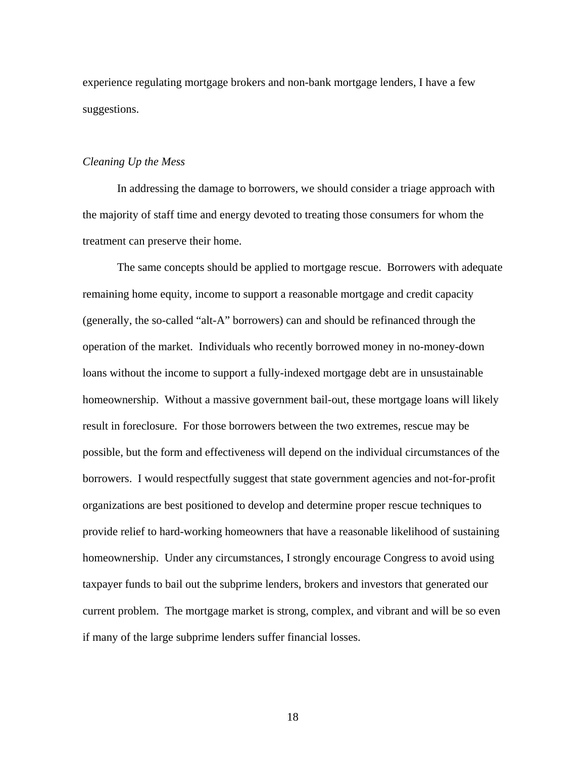experience regulating mortgage brokers and non-bank mortgage lenders, I have a few suggestions.

#### *Cleaning Up the Mess*

 In addressing the damage to borrowers, we should consider a triage approach with the majority of staff time and energy devoted to treating those consumers for whom the treatment can preserve their home.

 The same concepts should be applied to mortgage rescue. Borrowers with adequate remaining home equity, income to support a reasonable mortgage and credit capacity (generally, the so-called "alt-A" borrowers) can and should be refinanced through the operation of the market. Individuals who recently borrowed money in no-money-down loans without the income to support a fully-indexed mortgage debt are in unsustainable homeownership. Without a massive government bail-out, these mortgage loans will likely result in foreclosure. For those borrowers between the two extremes, rescue may be possible, but the form and effectiveness will depend on the individual circumstances of the borrowers. I would respectfully suggest that state government agencies and not-for-profit organizations are best positioned to develop and determine proper rescue techniques to provide relief to hard-working homeowners that have a reasonable likelihood of sustaining homeownership. Under any circumstances, I strongly encourage Congress to avoid using taxpayer funds to bail out the subprime lenders, brokers and investors that generated our current problem. The mortgage market is strong, complex, and vibrant and will be so even if many of the large subprime lenders suffer financial losses.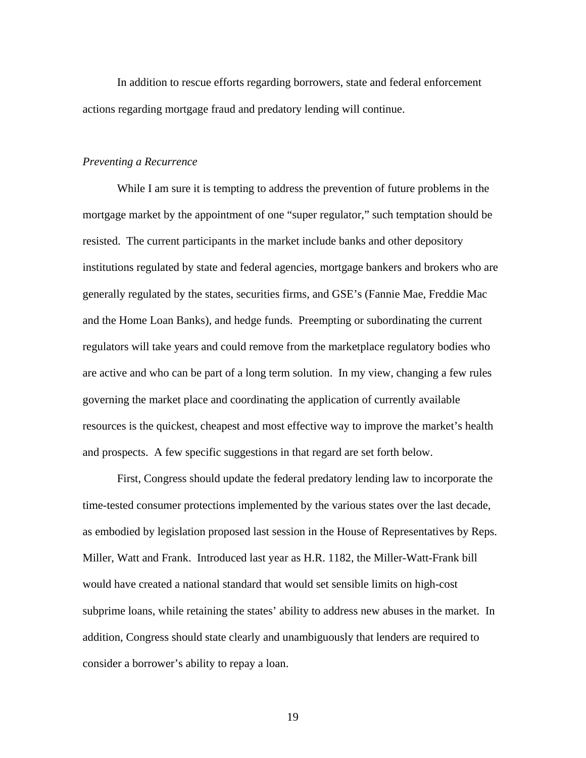In addition to rescue efforts regarding borrowers, state and federal enforcement actions regarding mortgage fraud and predatory lending will continue.

#### *Preventing a Recurrence*

 While I am sure it is tempting to address the prevention of future problems in the mortgage market by the appointment of one "super regulator," such temptation should be resisted. The current participants in the market include banks and other depository institutions regulated by state and federal agencies, mortgage bankers and brokers who are generally regulated by the states, securities firms, and GSE's (Fannie Mae, Freddie Mac and the Home Loan Banks), and hedge funds. Preempting or subordinating the current regulators will take years and could remove from the marketplace regulatory bodies who are active and who can be part of a long term solution. In my view, changing a few rules governing the market place and coordinating the application of currently available resources is the quickest, cheapest and most effective way to improve the market's health and prospects. A few specific suggestions in that regard are set forth below.

 First, Congress should update the federal predatory lending law to incorporate the time-tested consumer protections implemented by the various states over the last decade, as embodied by legislation proposed last session in the House of Representatives by Reps. Miller, Watt and Frank. Introduced last year as H.R. 1182, the Miller-Watt-Frank bill would have created a national standard that would set sensible limits on high-cost subprime loans, while retaining the states' ability to address new abuses in the market. In addition, Congress should state clearly and unambiguously that lenders are required to consider a borrower's ability to repay a loan.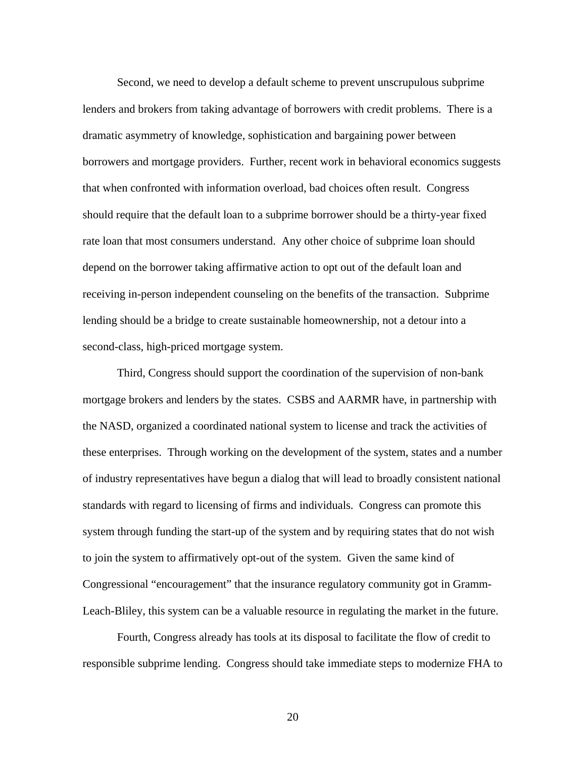Second, we need to develop a default scheme to prevent unscrupulous subprime lenders and brokers from taking advantage of borrowers with credit problems. There is a dramatic asymmetry of knowledge, sophistication and bargaining power between borrowers and mortgage providers. Further, recent work in behavioral economics suggests that when confronted with information overload, bad choices often result. Congress should require that the default loan to a subprime borrower should be a thirty-year fixed rate loan that most consumers understand. Any other choice of subprime loan should depend on the borrower taking affirmative action to opt out of the default loan and receiving in-person independent counseling on the benefits of the transaction. Subprime lending should be a bridge to create sustainable homeownership, not a detour into a second-class, high-priced mortgage system.

Third, Congress should support the coordination of the supervision of non-bank mortgage brokers and lenders by the states. CSBS and AARMR have, in partnership with the NASD, organized a coordinated national system to license and track the activities of these enterprises. Through working on the development of the system, states and a number of industry representatives have begun a dialog that will lead to broadly consistent national standards with regard to licensing of firms and individuals. Congress can promote this system through funding the start-up of the system and by requiring states that do not wish to join the system to affirmatively opt-out of the system. Given the same kind of Congressional "encouragement" that the insurance regulatory community got in Gramm-Leach-Bliley, this system can be a valuable resource in regulating the market in the future.

 Fourth, Congress already has tools at its disposal to facilitate the flow of credit to responsible subprime lending. Congress should take immediate steps to modernize FHA to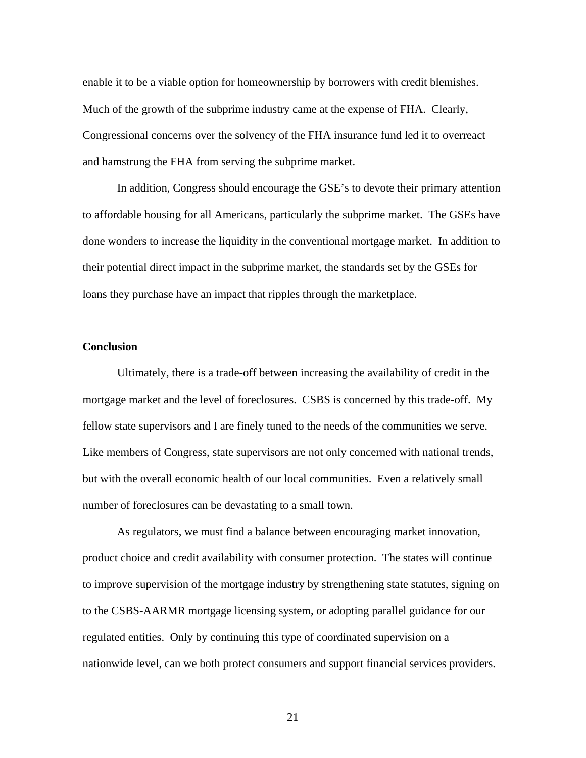enable it to be a viable option for homeownership by borrowers with credit blemishes. Much of the growth of the subprime industry came at the expense of FHA. Clearly, Congressional concerns over the solvency of the FHA insurance fund led it to overreact and hamstrung the FHA from serving the subprime market.

In addition, Congress should encourage the GSE's to devote their primary attention to affordable housing for all Americans, particularly the subprime market. The GSEs have done wonders to increase the liquidity in the conventional mortgage market. In addition to their potential direct impact in the subprime market, the standards set by the GSEs for loans they purchase have an impact that ripples through the marketplace.

### **Conclusion**

Ultimately, there is a trade-off between increasing the availability of credit in the mortgage market and the level of foreclosures. CSBS is concerned by this trade-off. My fellow state supervisors and I are finely tuned to the needs of the communities we serve. Like members of Congress, state supervisors are not only concerned with national trends, but with the overall economic health of our local communities. Even a relatively small number of foreclosures can be devastating to a small town.

 As regulators, we must find a balance between encouraging market innovation, product choice and credit availability with consumer protection. The states will continue to improve supervision of the mortgage industry by strengthening state statutes, signing on to the CSBS-AARMR mortgage licensing system, or adopting parallel guidance for our regulated entities. Only by continuing this type of coordinated supervision on a nationwide level, can we both protect consumers and support financial services providers.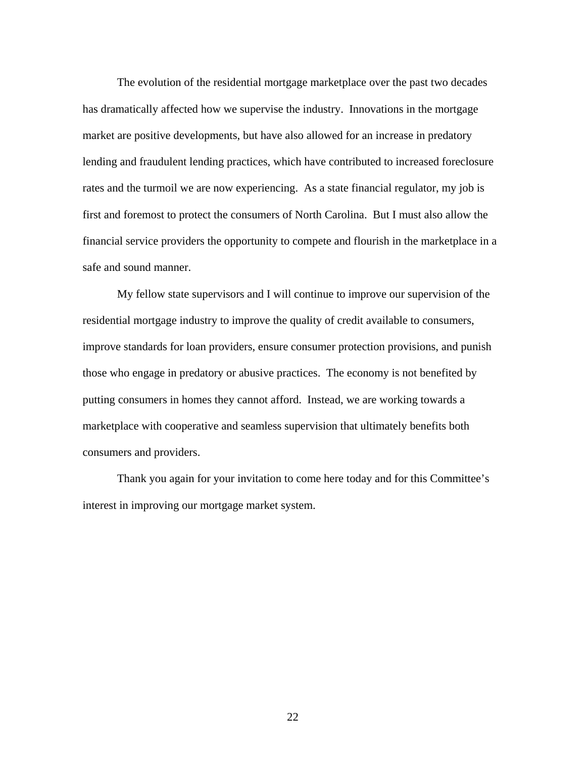The evolution of the residential mortgage marketplace over the past two decades has dramatically affected how we supervise the industry. Innovations in the mortgage market are positive developments, but have also allowed for an increase in predatory lending and fraudulent lending practices, which have contributed to increased foreclosure rates and the turmoil we are now experiencing. As a state financial regulator, my job is first and foremost to protect the consumers of North Carolina. But I must also allow the financial service providers the opportunity to compete and flourish in the marketplace in a safe and sound manner.

 My fellow state supervisors and I will continue to improve our supervision of the residential mortgage industry to improve the quality of credit available to consumers, improve standards for loan providers, ensure consumer protection provisions, and punish those who engage in predatory or abusive practices. The economy is not benefited by putting consumers in homes they cannot afford. Instead, we are working towards a marketplace with cooperative and seamless supervision that ultimately benefits both consumers and providers.

 Thank you again for your invitation to come here today and for this Committee's interest in improving our mortgage market system.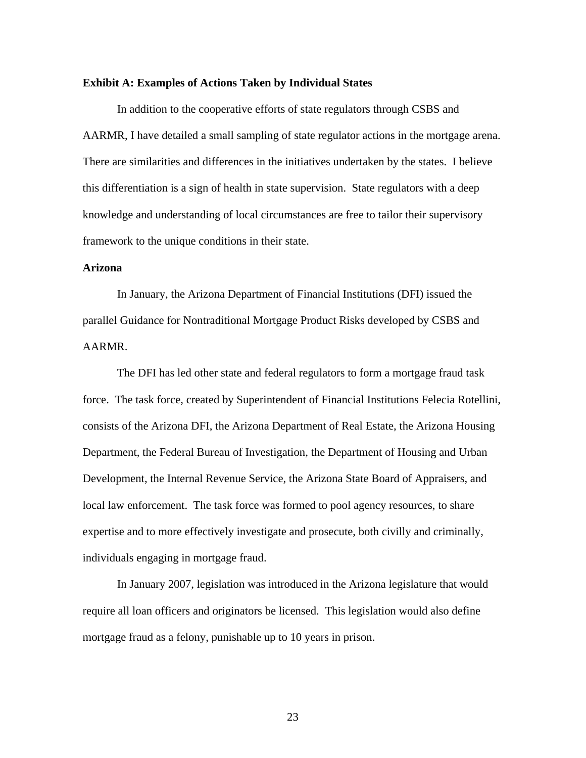#### **Exhibit A: Examples of Actions Taken by Individual States**

 In addition to the cooperative efforts of state regulators through CSBS and AARMR, I have detailed a small sampling of state regulator actions in the mortgage arena. There are similarities and differences in the initiatives undertaken by the states. I believe this differentiation is a sign of health in state supervision. State regulators with a deep knowledge and understanding of local circumstances are free to tailor their supervisory framework to the unique conditions in their state.

### **Arizona**

In January, the Arizona Department of Financial Institutions (DFI) issued the parallel Guidance for Nontraditional Mortgage Product Risks developed by CSBS and AARMR.

 The DFI has led other state and federal regulators to form a mortgage fraud task force. The task force, created by Superintendent of Financial Institutions Felecia Rotellini, consists of the Arizona DFI, the Arizona Department of Real Estate, the Arizona Housing Department, the Federal Bureau of Investigation, the Department of Housing and Urban Development, the Internal Revenue Service, the Arizona State Board of Appraisers, and local law enforcement. The task force was formed to pool agency resources, to share expertise and to more effectively investigate and prosecute, both civilly and criminally, individuals engaging in mortgage fraud.

 In January 2007, legislation was introduced in the Arizona legislature that would require all loan officers and originators be licensed. This legislation would also define mortgage fraud as a felony, punishable up to 10 years in prison.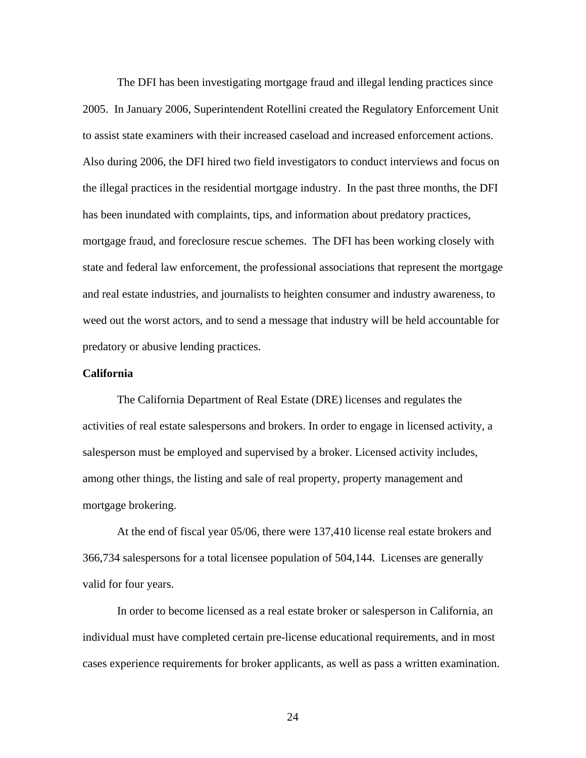The DFI has been investigating mortgage fraud and illegal lending practices since 2005. In January 2006, Superintendent Rotellini created the Regulatory Enforcement Unit to assist state examiners with their increased caseload and increased enforcement actions. Also during 2006, the DFI hired two field investigators to conduct interviews and focus on the illegal practices in the residential mortgage industry. In the past three months, the DFI has been inundated with complaints, tips, and information about predatory practices, mortgage fraud, and foreclosure rescue schemes. The DFI has been working closely with state and federal law enforcement, the professional associations that represent the mortgage and real estate industries, and journalists to heighten consumer and industry awareness, to weed out the worst actors, and to send a message that industry will be held accountable for predatory or abusive lending practices.

### **California**

 The California Department of Real Estate (DRE) licenses and regulates the activities of real estate salespersons and brokers. In order to engage in licensed activity, a salesperson must be employed and supervised by a broker. Licensed activity includes, among other things, the listing and sale of real property, property management and mortgage brokering.

At the end of fiscal year 05/06, there were 137,410 license real estate brokers and 366,734 salespersons for a total licensee population of 504,144. Licenses are generally valid for four years.

In order to become licensed as a real estate broker or salesperson in California, an individual must have completed certain pre-license educational requirements, and in most cases experience requirements for broker applicants, as well as pass a written examination.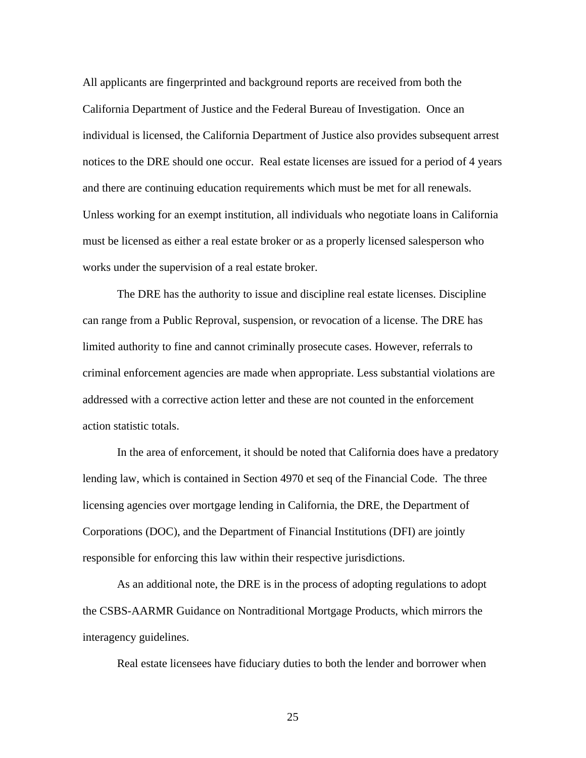All applicants are fingerprinted and background reports are received from both the California Department of Justice and the Federal Bureau of Investigation. Once an individual is licensed, the California Department of Justice also provides subsequent arrest notices to the DRE should one occur. Real estate licenses are issued for a period of 4 years and there are continuing education requirements which must be met for all renewals. Unless working for an exempt institution, all individuals who negotiate loans in California must be licensed as either a real estate broker or as a properly licensed salesperson who works under the supervision of a real estate broker.

The DRE has the authority to issue and discipline real estate licenses. Discipline can range from a Public Reproval, suspension, or revocation of a license. The DRE has limited authority to fine and cannot criminally prosecute cases. However, referrals to criminal enforcement agencies are made when appropriate. Less substantial violations are addressed with a corrective action letter and these are not counted in the enforcement action statistic totals.

 In the area of enforcement, it should be noted that California does have a predatory lending law, which is contained in Section 4970 et seq of the Financial Code. The three licensing agencies over mortgage lending in California, the DRE, the Department of Corporations (DOC), and the Department of Financial Institutions (DFI) are jointly responsible for enforcing this law within their respective jurisdictions.

As an additional note, the DRE is in the process of adopting regulations to adopt the CSBS-AARMR Guidance on Nontraditional Mortgage Products, which mirrors the interagency guidelines.

Real estate licensees have fiduciary duties to both the lender and borrower when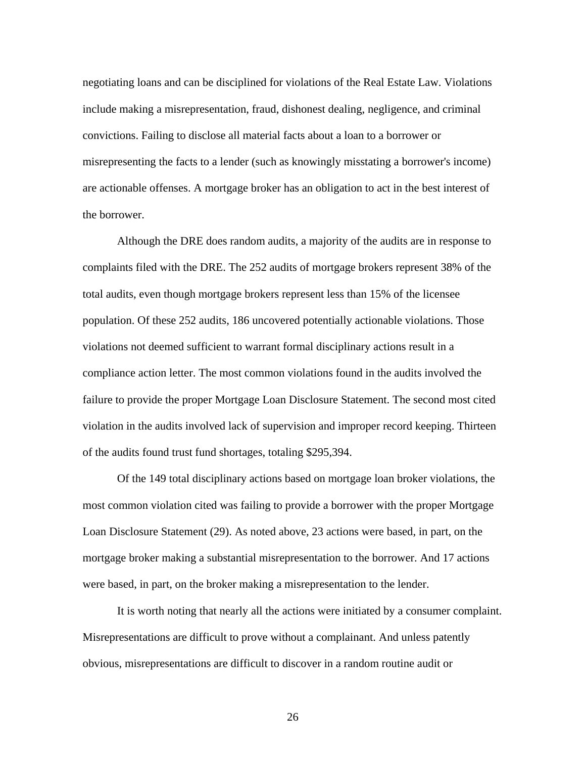negotiating loans and can be disciplined for violations of the Real Estate Law. Violations include making a misrepresentation, fraud, dishonest dealing, negligence, and criminal convictions. Failing to disclose all material facts about a loan to a borrower or misrepresenting the facts to a lender (such as knowingly misstating a borrower's income) are actionable offenses. A mortgage broker has an obligation to act in the best interest of the borrower.

 Although the DRE does random audits, a majority of the audits are in response to complaints filed with the DRE. The 252 audits of mortgage brokers represent 38% of the total audits, even though mortgage brokers represent less than 15% of the licensee population. Of these 252 audits, 186 uncovered potentially actionable violations. Those violations not deemed sufficient to warrant formal disciplinary actions result in a compliance action letter. The most common violations found in the audits involved the failure to provide the proper Mortgage Loan Disclosure Statement. The second most cited violation in the audits involved lack of supervision and improper record keeping. Thirteen of the audits found trust fund shortages, totaling \$295,394.

 Of the 149 total disciplinary actions based on mortgage loan broker violations, the most common violation cited was failing to provide a borrower with the proper Mortgage Loan Disclosure Statement (29). As noted above, 23 actions were based, in part, on the mortgage broker making a substantial misrepresentation to the borrower. And 17 actions were based, in part, on the broker making a misrepresentation to the lender.

It is worth noting that nearly all the actions were initiated by a consumer complaint. Misrepresentations are difficult to prove without a complainant. And unless patently obvious, misrepresentations are difficult to discover in a random routine audit or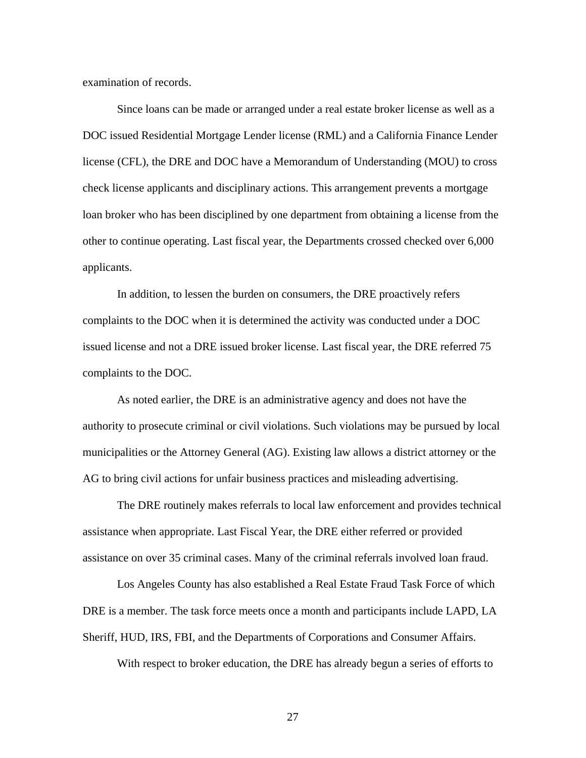examination of records.

Since loans can be made or arranged under a real estate broker license as well as a DOC issued Residential Mortgage Lender license (RML) and a California Finance Lender license (CFL), the DRE and DOC have a Memorandum of Understanding (MOU) to cross check license applicants and disciplinary actions. This arrangement prevents a mortgage loan broker who has been disciplined by one department from obtaining a license from the other to continue operating. Last fiscal year, the Departments crossed checked over 6,000 applicants.

In addition, to lessen the burden on consumers, the DRE proactively refers complaints to the DOC when it is determined the activity was conducted under a DOC issued license and not a DRE issued broker license. Last fiscal year, the DRE referred 75 complaints to the DOC.

 As noted earlier, the DRE is an administrative agency and does not have the authority to prosecute criminal or civil violations. Such violations may be pursued by local municipalities or the Attorney General (AG). Existing law allows a district attorney or the AG to bring civil actions for unfair business practices and misleading advertising.

 The DRE routinely makes referrals to local law enforcement and provides technical assistance when appropriate. Last Fiscal Year, the DRE either referred or provided assistance on over 35 criminal cases. Many of the criminal referrals involved loan fraud.

 Los Angeles County has also established a Real Estate Fraud Task Force of which DRE is a member. The task force meets once a month and participants include LAPD, LA Sheriff, HUD, IRS, FBI, and the Departments of Corporations and Consumer Affairs.

With respect to broker education, the DRE has already begun a series of efforts to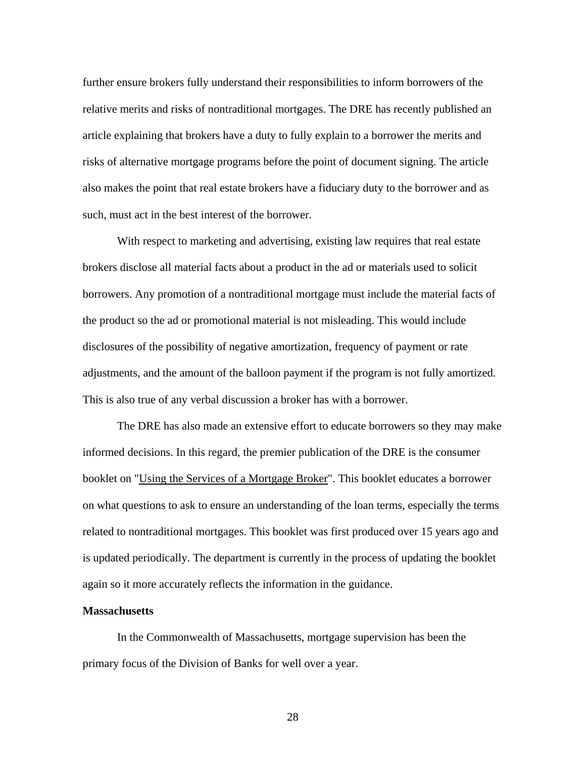further ensure brokers fully understand their responsibilities to inform borrowers of the relative merits and risks of nontraditional mortgages. The DRE has recently published an article explaining that brokers have a duty to fully explain to a borrower the merits and risks of alternative mortgage programs before the point of document signing. The article also makes the point that real estate brokers have a fiduciary duty to the borrower and as such, must act in the best interest of the borrower.

With respect to marketing and advertising, existing law requires that real estate brokers disclose all material facts about a product in the ad or materials used to solicit borrowers. Any promotion of a nontraditional mortgage must include the material facts of the product so the ad or promotional material is not misleading. This would include disclosures of the possibility of negative amortization, frequency of payment or rate adjustments, and the amount of the balloon payment if the program is not fully amortized. This is also true of any verbal discussion a broker has with a borrower.

 The DRE has also made an extensive effort to educate borrowers so they may make informed decisions. In this regard, the premier publication of the DRE is the consumer booklet on "Using the Services of a Mortgage Broker". This booklet educates a borrower on what questions to ask to ensure an understanding of the loan terms, especially the terms related to nontraditional mortgages. This booklet was first produced over 15 years ago and is updated periodically. The department is currently in the process of updating the booklet again so it more accurately reflects the information in the guidance.

## **Massachusetts**

 In the Commonwealth of Massachusetts, mortgage supervision has been the primary focus of the Division of Banks for well over a year.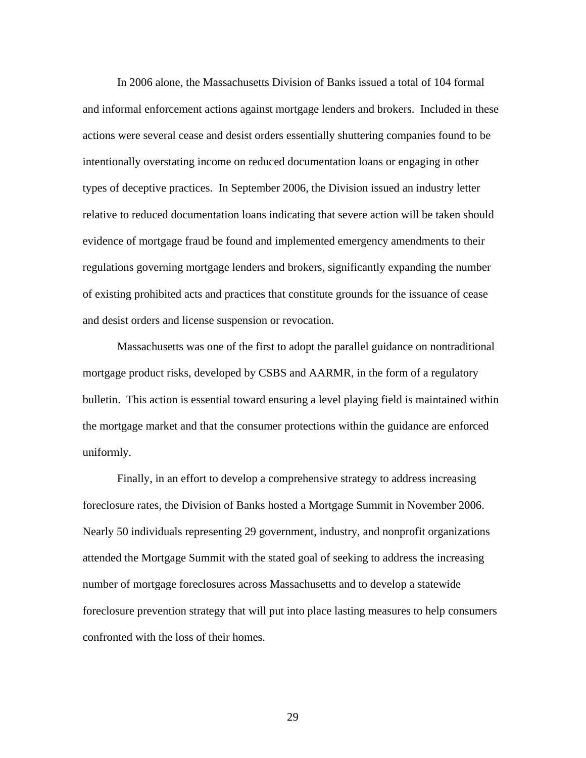In 2006 alone, the Massachusetts Division of Banks issued a total of 104 formal and informal enforcement actions against mortgage lenders and brokers. Included in these actions were several cease and desist orders essentially shuttering companies found to be intentionally overstating income on reduced documentation loans or engaging in other types of deceptive practices. In September 2006, the Division issued an industry letter relative to reduced documentation loans indicating that severe action will be taken should evidence of mortgage fraud be found and implemented emergency amendments to their regulations governing mortgage lenders and brokers, significantly expanding the number of existing prohibited acts and practices that constitute grounds for the issuance of cease and desist orders and license suspension or revocation.

 Massachusetts was one of the first to adopt the parallel guidance on nontraditional mortgage product risks, developed by CSBS and AARMR, in the form of a regulatory bulletin. This action is essential toward ensuring a level playing field is maintained within the mortgage market and that the consumer protections within the guidance are enforced uniformly.

 Finally, in an effort to develop a comprehensive strategy to address increasing foreclosure rates, the Division of Banks hosted a Mortgage Summit in November 2006. Nearly 50 individuals representing 29 government, industry, and nonprofit organizations attended the Mortgage Summit with the stated goal of seeking to address the increasing number of mortgage foreclosures across Massachusetts and to develop a statewide foreclosure prevention strategy that will put into place lasting measures to help consumers confronted with the loss of their homes.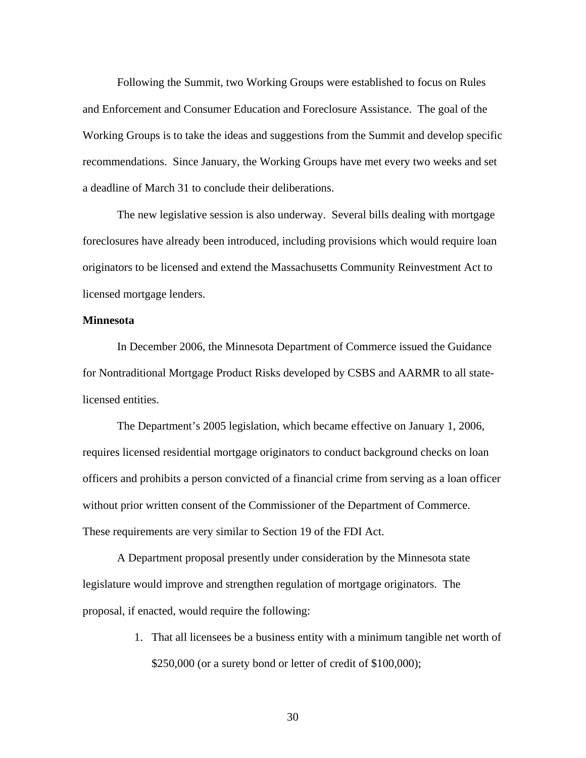Following the Summit, two Working Groups were established to focus on Rules and Enforcement and Consumer Education and Foreclosure Assistance. The goal of the Working Groups is to take the ideas and suggestions from the Summit and develop specific recommendations. Since January, the Working Groups have met every two weeks and set a deadline of March 31 to conclude their deliberations.

 The new legislative session is also underway. Several bills dealing with mortgage foreclosures have already been introduced, including provisions which would require loan originators to be licensed and extend the Massachusetts Community Reinvestment Act to licensed mortgage lenders.

#### **Minnesota**

 In December 2006, the Minnesota Department of Commerce issued the Guidance for Nontraditional Mortgage Product Risks developed by CSBS and AARMR to all statelicensed entities.

 The Department's 2005 legislation, which became effective on January 1, 2006, requires licensed residential mortgage originators to conduct background checks on loan officers and prohibits a person convicted of a financial crime from serving as a loan officer without prior written consent of the Commissioner of the Department of Commerce. These requirements are very similar to Section 19 of the FDI Act.

 A Department proposal presently under consideration by the Minnesota state legislature would improve and strengthen regulation of mortgage originators. The proposal, if enacted, would require the following:

> 1. That all licensees be a business entity with a minimum tangible net worth of \$250,000 (or a surety bond or letter of credit of \$100,000);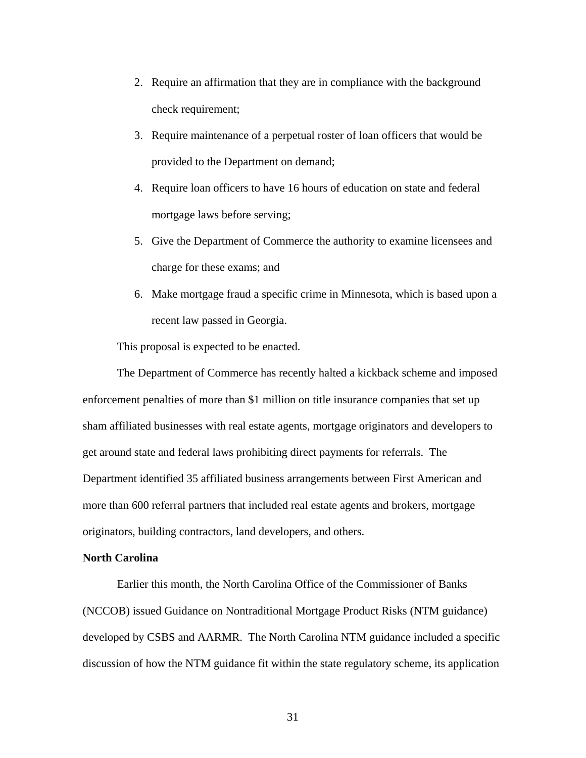- 2. Require an affirmation that they are in compliance with the background check requirement;
- 3. Require maintenance of a perpetual roster of loan officers that would be provided to the Department on demand;
- 4. Require loan officers to have 16 hours of education on state and federal mortgage laws before serving;
- 5. Give the Department of Commerce the authority to examine licensees and charge for these exams; and
- 6. Make mortgage fraud a specific crime in Minnesota, which is based upon a recent law passed in Georgia.

This proposal is expected to be enacted.

The Department of Commerce has recently halted a kickback scheme and imposed enforcement penalties of more than \$1 million on title insurance companies that set up sham affiliated businesses with real estate agents, mortgage originators and developers to get around state and federal laws prohibiting direct payments for referrals. The Department identified 35 affiliated business arrangements between First American and more than 600 referral partners that included real estate agents and brokers, mortgage originators, building contractors, land developers, and others.

#### **North Carolina**

 Earlier this month, the North Carolina Office of the Commissioner of Banks (NCCOB) issued Guidance on Nontraditional Mortgage Product Risks (NTM guidance) developed by CSBS and AARMR. The North Carolina NTM guidance included a specific discussion of how the NTM guidance fit within the state regulatory scheme, its application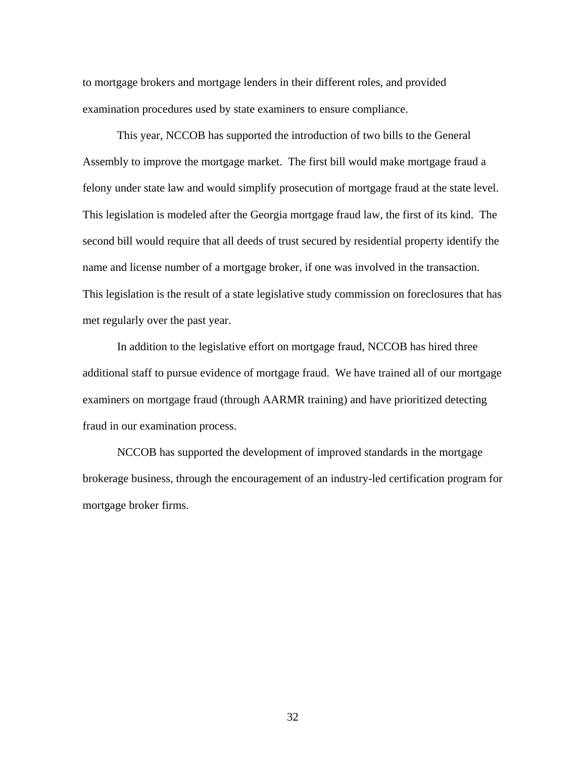to mortgage brokers and mortgage lenders in their different roles, and provided examination procedures used by state examiners to ensure compliance.

 This year, NCCOB has supported the introduction of two bills to the General Assembly to improve the mortgage market. The first bill would make mortgage fraud a felony under state law and would simplify prosecution of mortgage fraud at the state level. This legislation is modeled after the Georgia mortgage fraud law, the first of its kind. The second bill would require that all deeds of trust secured by residential property identify the name and license number of a mortgage broker, if one was involved in the transaction. This legislation is the result of a state legislative study commission on foreclosures that has met regularly over the past year.

 In addition to the legislative effort on mortgage fraud, NCCOB has hired three additional staff to pursue evidence of mortgage fraud. We have trained all of our mortgage examiners on mortgage fraud (through AARMR training) and have prioritized detecting fraud in our examination process.

 NCCOB has supported the development of improved standards in the mortgage brokerage business, through the encouragement of an industry-led certification program for mortgage broker firms.